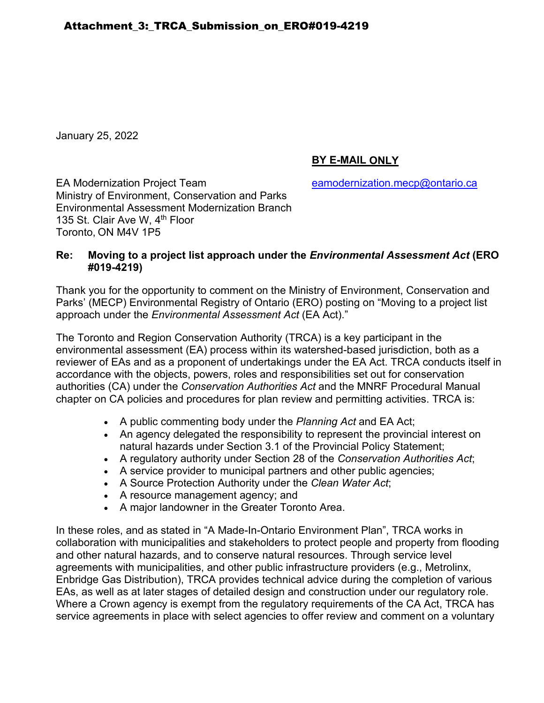January 25, 2022

# **BY E-MAIL ONLY**

EA Modernization Project Team earnol [eamodernization.mecp@ontario.ca](mailto:eamodernization.mecp@ontario.ca) Ministry of Environment, Conservation and Parks Environmental Assessment Modernization Branch 135 St. Clair Ave W, 4<sup>th</sup> Floor Toronto, ON M4V 1P5

### **Re: Moving to a project list approach under the** *Environmental Assessment Act* **(ERO #019-4219)**

Thank you for the opportunity to comment on the Ministry of Environment, Conservation and Parks' (MECP) Environmental Registry of Ontario (ERO) posting on "Moving to a project list approach under the *Environmental Assessment Act* (EA Act)."

The Toronto and Region Conservation Authority (TRCA) is a key participant in the environmental assessment (EA) process within its watershed-based jurisdiction, both as a reviewer of EAs and as a proponent of undertakings under the EA Act. TRCA conducts itself in accordance with the objects, powers, roles and responsibilities set out for conservation authorities (CA) under the *Conservation Authorities Act* and the MNRF Procedural Manual chapter on CA policies and procedures for plan review and permitting activities. TRCA is:

- A public commenting body under the *Planning Act* and EA Act;
- An agency delegated the responsibility to represent the provincial interest on natural hazards under Section 3.1 of the Provincial Policy Statement;
- A regulatory authority under Section 28 of the *Conservation Authorities Act*;
- A service provider to municipal partners and other public agencies;
- A Source Protection Authority under the *Clean Water Act*;
- A resource management agency; and
- A major landowner in the Greater Toronto Area.

In these roles, and as stated in "A Made-In-Ontario Environment Plan", TRCA works in collaboration with municipalities and stakeholders to protect people and property from flooding and other natural hazards, and to conserve natural resources. Through service level agreements with municipalities, and other public infrastructure providers (e.g., Metrolinx, Enbridge Gas Distribution), TRCA provides technical advice during the completion of various EAs, as well as at later stages of detailed design and construction under our regulatory role. Where a Crown agency is exempt from the regulatory requirements of the CA Act, TRCA has service agreements in place with select agencies to offer review and comment on a voluntary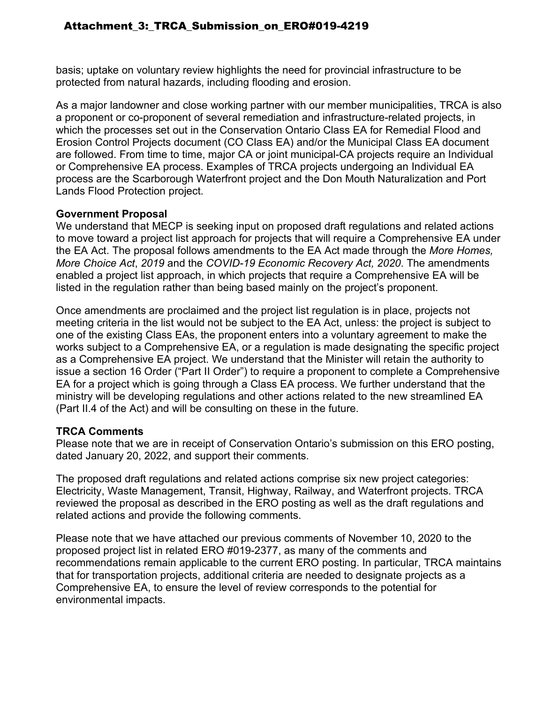basis; uptake on voluntary review highlights the need for provincial infrastructure to be protected from natural hazards, including flooding and erosion.

As a major landowner and close working partner with our member municipalities, TRCA is also a proponent or co-proponent of several remediation and infrastructure-related projects, in which the processes set out in the Conservation Ontario Class EA for Remedial Flood and Erosion Control Projects document (CO Class EA) and/or the Municipal Class EA document are followed. From time to time, major CA or joint municipal-CA projects require an Individual or Comprehensive EA process. Examples of TRCA projects undergoing an Individual EA process are the Scarborough Waterfront project and the Don Mouth Naturalization and Port Lands Flood Protection project.

### **Government Proposal**

We understand that MECP is seeking input on proposed draft regulations and related actions to move toward a project list approach for projects that will require a Comprehensive EA under the EA Act. The proposal follows amendments to the EA Act made through the *More Homes, More Choice Act*, *2019* and the *COVID-19 Economic Recovery Act, 2020*. The amendments enabled a project list approach, in which projects that require a Comprehensive EA will be listed in the regulation rather than being based mainly on the project's proponent.

Once amendments are proclaimed and the project list regulation is in place, projects not meeting criteria in the list would not be subject to the EA Act, unless: the project is subject to one of the existing Class EAs, the proponent enters into a voluntary agreement to make the works subject to a Comprehensive EA, or a regulation is made designating the specific project as a Comprehensive EA project. We understand that the Minister will retain the authority to issue a section 16 Order ("Part II Order") to require a proponent to complete a Comprehensive EA for a project which is going through a Class EA process. We further understand that the ministry will be developing regulations and other actions related to the new streamlined EA (Part II.4 of the Act) and will be consulting on these in the future.

## **TRCA Comments**

Please note that we are in receipt of Conservation Ontario's submission on this ERO posting, dated January 20, 2022, and support their comments.

The proposed draft regulations and related actions comprise six new project categories: Electricity, Waste Management, Transit, Highway, Railway, and Waterfront projects. TRCA reviewed the proposal as described in the ERO posting as well as the draft regulations and related actions and provide the following comments.

Please note that we have attached our previous comments of November 10, 2020 to the proposed project list in related ERO #019-2377, as many of the comments and recommendations remain applicable to the current ERO posting. In particular, TRCA maintains that for transportation projects, additional criteria are needed to designate projects as a Comprehensive EA, to ensure the level of review corresponds to the potential for environmental impacts.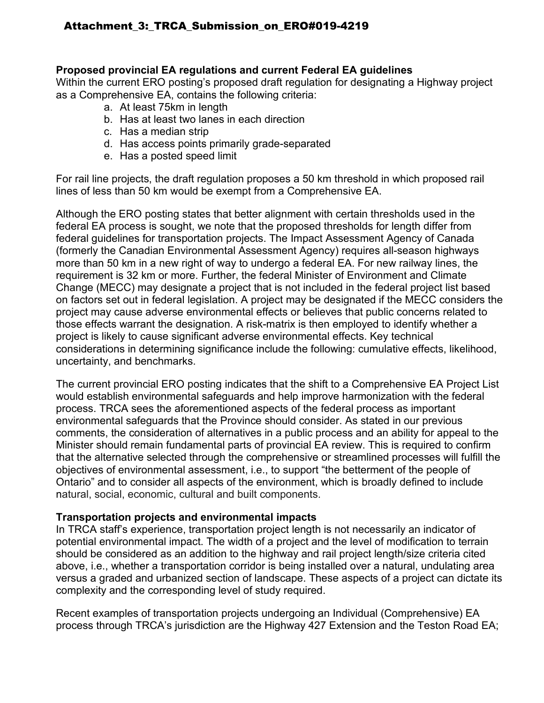### **Proposed provincial EA regulations and current Federal EA guidelines**

Within the current ERO posting's proposed draft regulation for designating a Highway project as a Comprehensive EA, contains the following criteria:

- a. At least 75km in length
- b. Has at least two lanes in each direction
- c. Has a median strip
- d. Has access points primarily grade-separated
- e. Has a posted speed limit

For rail line projects, the draft regulation proposes a 50 km threshold in which proposed rail lines of less than 50 km would be exempt from a Comprehensive EA.

Although the ERO posting states that better alignment with certain thresholds used in the federal EA process is sought, we note that the proposed thresholds for length differ from federal guidelines for transportation projects. The Impact Assessment Agency of Canada (formerly the Canadian Environmental Assessment Agency) requires all-season highways more than 50 km in a new right of way to undergo a federal EA. For new railway lines, the requirement is 32 km or more. Further, the federal Minister of Environment and Climate Change (MECC) may designate a project that is not included in the federal project list based on factors set out in federal legislation. A project may be designated if the MECC considers the project may cause adverse environmental effects or believes that public concerns related to those effects warrant the designation. A risk-matrix is then employed to identify whether a project is likely to cause significant adverse environmental effects. Key technical considerations in determining significance include the following: cumulative effects, likelihood, uncertainty, and benchmarks.

The current provincial ERO posting indicates that the shift to a Comprehensive EA Project List would establish environmental safeguards and help improve harmonization with the federal process. TRCA sees the aforementioned aspects of the federal process as important environmental safeguards that the Province should consider. As stated in our previous comments, the consideration of alternatives in a public process and an ability for appeal to the Minister should remain fundamental parts of provincial EA review. This is required to confirm that the alternative selected through the comprehensive or streamlined processes will fulfill the objectives of environmental assessment, i.e., to support "the betterment of the people of Ontario" and to consider all aspects of the environment, which is broadly defined to include natural, social, economic, cultural and built components.

## **Transportation projects and environmental impacts**

In TRCA staff's experience, transportation project length is not necessarily an indicator of potential environmental impact. The width of a project and the level of modification to terrain should be considered as an addition to the highway and rail project length/size criteria cited above, i.e., whether a transportation corridor is being installed over a natural, undulating area versus a graded and urbanized section of landscape. These aspects of a project can dictate its complexity and the corresponding level of study required.

Recent examples of transportation projects undergoing an Individual (Comprehensive) EA process through TRCA's jurisdiction are the Highway 427 Extension and the Teston Road EA;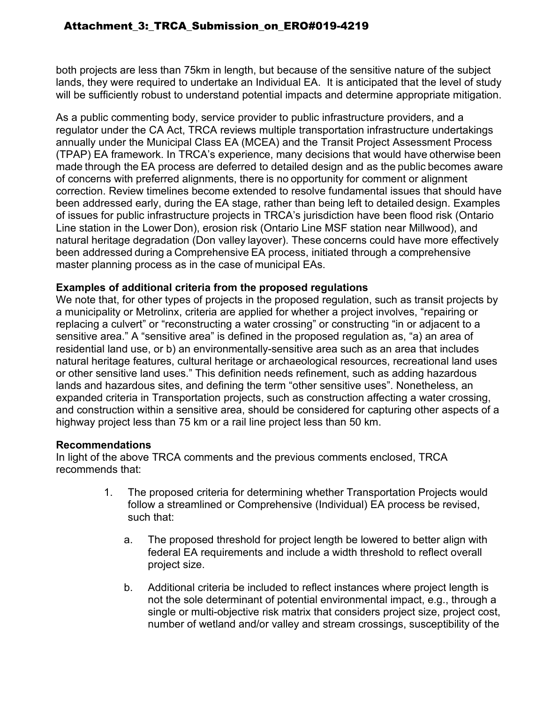both projects are less than 75km in length, but because of the sensitive nature of the subject lands, they were required to undertake an Individual EA. It is anticipated that the level of study will be sufficiently robust to understand potential impacts and determine appropriate mitigation.

As a public commenting body, service provider to public infrastructure providers, and a regulator under the CA Act, TRCA reviews multiple transportation infrastructure undertakings annually under the Municipal Class EA (MCEA) and the Transit Project Assessment Process (TPAP) EA framework. In TRCA's experience, many decisions that would have otherwise been made through the EA process are deferred to detailed design and as the public becomes aware of concerns with preferred alignments, there is no opportunity for comment or alignment correction. Review timelines become extended to resolve fundamental issues that should have been addressed early, during the EA stage, rather than being left to detailed design. Examples of issues for public infrastructure projects in TRCA's jurisdiction have been flood risk (Ontario Line station in the Lower Don), erosion risk (Ontario Line MSF station near Millwood), and natural heritage degradation (Don valley layover). These concerns could have more effectively been addressed during a Comprehensive EA process, initiated through a comprehensive  master planning process as in the case of municipal EAs.

### **Examples of additional criteria from the proposed regulations**

We note that, for other types of projects in the proposed regulation, such as transit projects by a municipality or Metrolinx, criteria are applied for whether a project involves, "repairing or replacing a culvert" or "reconstructing a water crossing" or constructing "in or adjacent to a sensitive area." A "sensitive area" is defined in the proposed regulation as, "a) an area of residential land use, or b) an environmentally-sensitive area such as an area that includes natural heritage features, cultural heritage or archaeological resources, recreational land uses or other sensitive land uses." This definition needs refinement, such as adding hazardous lands and hazardous sites, and defining the term "other sensitive uses". Nonetheless, an expanded criteria in Transportation projects, such as construction affecting a water crossing, and construction within a sensitive area, should be considered for capturing other aspects of a highway project less than 75 km or a rail line project less than 50 km.

### **Recommendations**

In light of the above TRCA comments and the previous comments enclosed, TRCA recommends that:

- 1. The proposed criteria for determining whether Transportation Projects would follow a streamlined or Comprehensive (Individual) EA process be revised, such that:
	- a. The proposed threshold for project length be lowered to better align with federal EA requirements and include a width threshold to reflect overall project size.
	- b. Additional criteria be included to reflect instances where project length is not the sole determinant of potential environmental impact, e.g., through a single or multi-objective risk matrix that considers project size, project cost, number of wetland and/or valley and stream crossings, susceptibility of the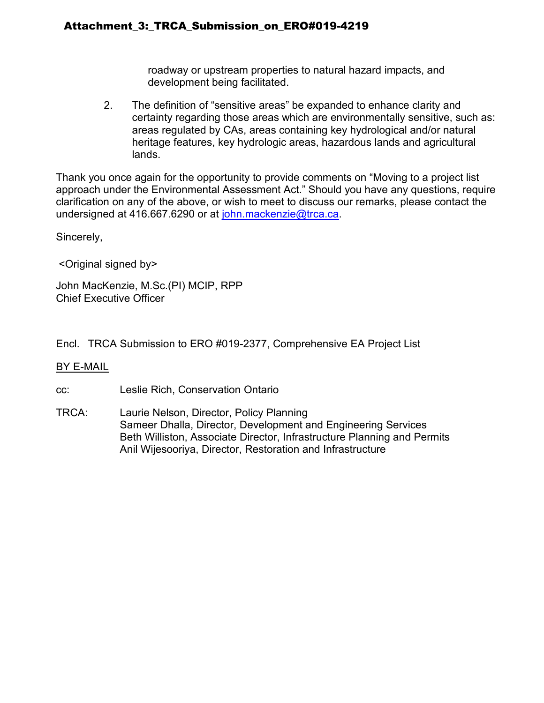roadway or upstream properties to natural hazard impacts, and development being facilitated.

2. The definition of "sensitive areas" be expanded to enhance clarity and certainty regarding those areas which are environmentally sensitive, such as: areas regulated by CAs, areas containing key hydrological and/or natural heritage features, key hydrologic areas, hazardous lands and agricultural lands.

Thank you once again for the opportunity to provide comments on "Moving to a project list approach under the Environmental Assessment Act." Should you have any questions, require clarification on any of the above, or wish to meet to discuss our remarks, please contact the undersigned at 416.667.6290 or at [john.mackenzie@trca.ca.](mailto:john.mackenzie@trca.ca)

Sincerely,

<Original signed by>

John MacKenzie, M.Sc.(PI) MCIP, RPP Chief Executive Officer

Encl. TRCA Submission to ERO #019-2377, Comprehensive EA Project List

### BY E-MAIL

cc: Leslie Rich, Conservation Ontario

TRCA: Laurie Nelson, Director, Policy Planning Sameer Dhalla, Director, Development and Engineering Services Beth Williston, Associate Director, Infrastructure Planning and Permits Anil Wijesooriya, Director, Restoration and Infrastructure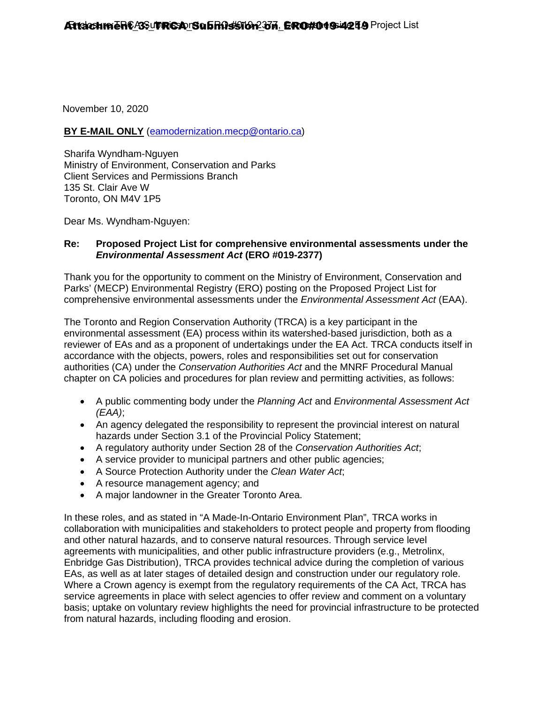November 10, 2020

### **BY E-MAIL ONLY** [\(eamodernization.mecp@ontario.ca\)](mailto:eamodernization.mecp@ontario.ca)

Sharifa Wyndham-Nguyen Ministry of Environment, Conservation and Parks Client Services and Permissions Branch 135 St. Clair Ave W Toronto, ON M4V 1P5

Dear Ms. Wyndham-Nguyen:

### **Re: Proposed Project List for comprehensive environmental assessments under the**  *Environmental Assessment Act* **(ERO #019-2377)**

Thank you for the opportunity to comment on the Ministry of Environment, Conservation and Parks' (MECP) Environmental Registry (ERO) posting on the Proposed Project List for comprehensive environmental assessments under the *Environmental Assessment Act* (EAA).

The Toronto and Region Conservation Authority (TRCA) is a key participant in the environmental assessment (EA) process within its watershed-based jurisdiction, both as a reviewer of EAs and as a proponent of undertakings under the EA Act. TRCA conducts itself in accordance with the objects, powers, roles and responsibilities set out for conservation authorities (CA) under the *Conservation Authorities Act* and the MNRF Procedural Manual chapter on CA policies and procedures for plan review and permitting activities, as follows:

- A public commenting body under the *Planning Act* and *Environmental Assessment Act (EAA)*;
- An agency delegated the responsibility to represent the provincial interest on natural hazards under Section 3.1 of the Provincial Policy Statement;
- A regulatory authority under Section 28 of the *Conservation Authorities Act*;
- A service provider to municipal partners and other public agencies;
- A Source Protection Authority under the *Clean Water Act*;
- A resource management agency; and
- A major landowner in the Greater Toronto Area.

In these roles, and as stated in "A Made-In-Ontario Environment Plan", TRCA works in collaboration with municipalities and stakeholders to protect people and property from flooding and other natural hazards, and to conserve natural resources. Through service level agreements with municipalities, and other public infrastructure providers (e.g., Metrolinx, Enbridge Gas Distribution), TRCA provides technical advice during the completion of various EAs, as well as at later stages of detailed design and construction under our regulatory role. Where a Crown agency is exempt from the regulatory requirements of the CA Act, TRCA has service agreements in place with select agencies to offer review and comment on a voluntary basis; uptake on voluntary review highlights the need for provincial infrastructure to be protected from natural hazards, including flooding and erosion.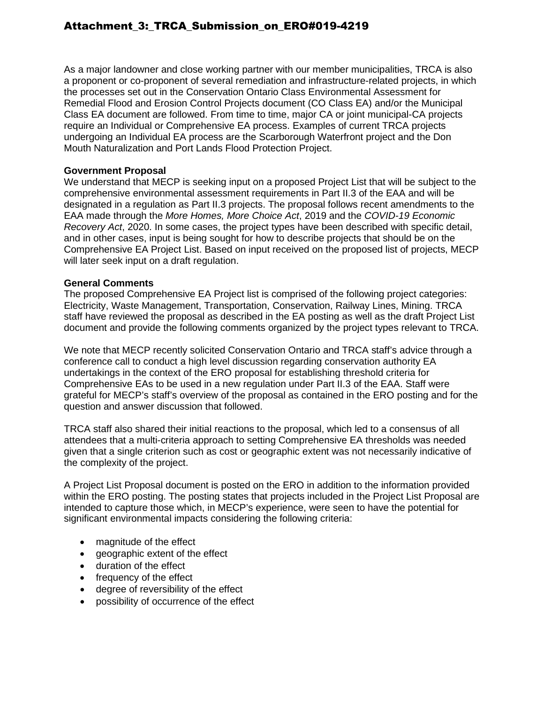As a major landowner and close working partner with our member municipalities, TRCA is also a proponent or co-proponent of several remediation and infrastructure-related projects, in which the processes set out in the Conservation Ontario Class Environmental Assessment for Remedial Flood and Erosion Control Projects document (CO Class EA) and/or the Municipal Class EA document are followed. From time to time, major CA or joint municipal-CA projects require an Individual or Comprehensive EA process. Examples of current TRCA projects undergoing an Individual EA process are the Scarborough Waterfront project and the Don Mouth Naturalization and Port Lands Flood Protection Project.

#### **Government Proposal**

We understand that MECP is seeking input on a proposed Project List that will be subject to the comprehensive environmental assessment requirements in Part II.3 of the EAA and will be designated in a regulation as Part II.3 projects. The proposal follows recent amendments to the EAA made through the *More Homes, More Choice Act*, 2019 and the *COVID-19 Economic Recovery Act*, 2020. In some cases, the project types have been described with specific detail, and in other cases, input is being sought for how to describe projects that should be on the Comprehensive EA Project List. Based on input received on the proposed list of projects, MECP will later seek input on a draft regulation.

#### **General Comments**

The proposed Comprehensive EA Project list is comprised of the following project categories: Electricity, Waste Management, Transportation, Conservation, Railway Lines, Mining. TRCA staff have reviewed the proposal as described in the EA posting as well as the draft Project List document and provide the following comments organized by the project types relevant to TRCA.

We note that MECP recently solicited Conservation Ontario and TRCA staff's advice through a conference call to conduct a high level discussion regarding conservation authority EA undertakings in the context of the ERO proposal for establishing threshold criteria for Comprehensive EAs to be used in a new regulation under Part II.3 of the EAA. Staff were grateful for MECP's staff's overview of the proposal as contained in the ERO posting and for the question and answer discussion that followed.

TRCA staff also shared their initial reactions to the proposal, which led to a consensus of all attendees that a multi-criteria approach to setting Comprehensive EA thresholds was needed given that a single criterion such as cost or geographic extent was not necessarily indicative of the complexity of the project.

A Project List Proposal document is posted on the ERO in addition to the information provided within the ERO posting. The posting states that projects included in the Project List Proposal are intended to capture those which, in MECP's experience, were seen to have the potential for significant environmental impacts considering the following criteria:

- magnitude of the effect
- geographic extent of the effect
- duration of the effect
- frequency of the effect
- degree of reversibility of the effect
- possibility of occurrence of the effect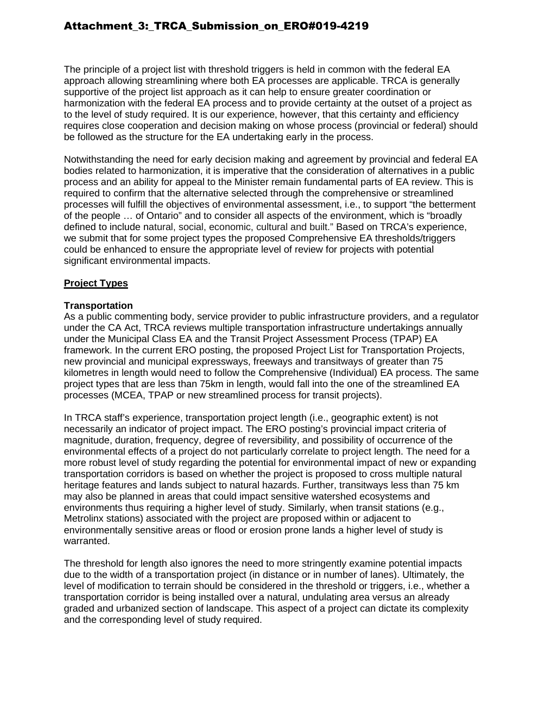The principle of a project list with threshold triggers is held in common with the federal EA approach allowing streamlining where both EA processes are applicable. TRCA is generally supportive of the project list approach as it can help to ensure greater coordination or harmonization with the federal EA process and to provide certainty at the outset of a project as to the level of study required. It is our experience, however, that this certainty and efficiency requires close cooperation and decision making on whose process (provincial or federal) should be followed as the structure for the EA undertaking early in the process.

Notwithstanding the need for early decision making and agreement by provincial and federal EA bodies related to harmonization, it is imperative that the consideration of alternatives in a public process and an ability for appeal to the Minister remain fundamental parts of EA review. This is required to confirm that the alternative selected through the comprehensive or streamlined processes will fulfill the objectives of environmental assessment, i.e., to support "the betterment of the people … of Ontario" and to consider all aspects of the environment, which is "broadly defined to include natural, social, economic, cultural and built." Based on TRCA's experience, we submit that for some project types the proposed Comprehensive EA thresholds/triggers could be enhanced to ensure the appropriate level of review for projects with potential significant environmental impacts.

### **Project Types**

#### **Transportation**

As a public commenting body, service provider to public infrastructure providers, and a regulator under the CA Act, TRCA reviews multiple transportation infrastructure undertakings annually under the Municipal Class EA and the Transit Project Assessment Process (TPAP) EA framework. In the current ERO posting, the proposed Project List for Transportation Projects, new provincial and municipal expressways, freeways and transitways of greater than 75 kilometres in length would need to follow the Comprehensive (Individual) EA process. The same project types that are less than 75km in length, would fall into the one of the streamlined EA processes (MCEA, TPAP or new streamlined process for transit projects).

In TRCA staff's experience, transportation project length (i.e., geographic extent) is not necessarily an indicator of project impact. The ERO posting's provincial impact criteria of magnitude, duration, frequency, degree of reversibility, and possibility of occurrence of the environmental effects of a project do not particularly correlate to project length. The need for a more robust level of study regarding the potential for environmental impact of new or expanding transportation corridors is based on whether the project is proposed to cross multiple natural heritage features and lands subject to natural hazards. Further, transitways less than 75 km may also be planned in areas that could impact sensitive watershed ecosystems and environments thus requiring a higher level of study. Similarly, when transit stations (e.g., Metrolinx stations) associated with the project are proposed within or adjacent to environmentally sensitive areas or flood or erosion prone lands a higher level of study is warranted.

The threshold for length also ignores the need to more stringently examine potential impacts due to the width of a transportation project (in distance or in number of lanes). Ultimately, the level of modification to terrain should be considered in the threshold or triggers, i.e., whether a transportation corridor is being installed over a natural, undulating area versus an already graded and urbanized section of landscape. This aspect of a project can dictate its complexity and the corresponding level of study required.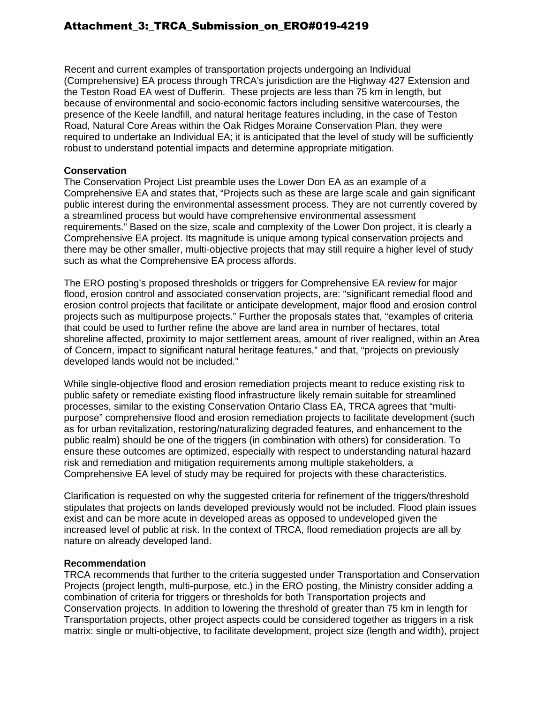Recent and current examples of transportation projects undergoing an Individual (Comprehensive) EA process through TRCA's jurisdiction are the Highway 427 Extension and the Teston Road EA west of Dufferin. These projects are less than 75 km in length, but because of environmental and socio-economic factors including sensitive watercourses, the presence of the Keele landfill, and natural heritage features including, in the case of Teston Road, Natural Core Areas within the Oak Ridges Moraine Conservation Plan, they were required to undertake an Individual EA; it is anticipated that the level of study will be sufficiently robust to understand potential impacts and determine appropriate mitigation.

#### **Conservation**

The Conservation Project List preamble uses the Lower Don EA as an example of a Comprehensive EA and states that, "Projects such as these are large scale and gain significant public interest during the environmental assessment process. They are not currently covered by a streamlined process but would have comprehensive environmental assessment requirements." Based on the size, scale and complexity of the Lower Don project, it is clearly a Comprehensive EA project. Its magnitude is unique among typical conservation projects and there may be other smaller, multi-objective projects that may still require a higher level of study such as what the Comprehensive EA process affords.

The ERO posting's proposed thresholds or triggers for Comprehensive EA review for major flood, erosion control and associated conservation projects, are: "significant remedial flood and erosion control projects that facilitate or anticipate development, major flood and erosion control projects such as multipurpose projects." Further the proposals states that, "examples of criteria that could be used to further refine the above are land area in number of hectares, total shoreline affected, proximity to major settlement areas, amount of river realigned, within an Area of Concern, impact to significant natural heritage features," and that, "projects on previously developed lands would not be included."

While single-objective flood and erosion remediation projects meant to reduce existing risk to public safety or remediate existing flood infrastructure likely remain suitable for streamlined processes, similar to the existing Conservation Ontario Class EA, TRCA agrees that "multipurpose" comprehensive flood and erosion remediation projects to facilitate development (such as for urban revitalization, restoring/naturalizing degraded features, and enhancement to the public realm) should be one of the triggers (in combination with others) for consideration. To ensure these outcomes are optimized, especially with respect to understanding natural hazard risk and remediation and mitigation requirements among multiple stakeholders, a Comprehensive EA level of study may be required for projects with these characteristics.

Clarification is requested on why the suggested criteria for refinement of the triggers/threshold stipulates that projects on lands developed previously would not be included. Flood plain issues exist and can be more acute in developed areas as opposed to undeveloped given the increased level of public at risk. In the context of TRCA, flood remediation projects are all by nature on already developed land.

#### **Recommendation**

TRCA recommends that further to the criteria suggested under Transportation and Conservation Projects (project length, multi-purpose, etc.) in the ERO posting, the Ministry consider adding a combination of criteria for triggers or thresholds for both Transportation projects and Conservation projects. In addition to lowering the threshold of greater than 75 km in length for Transportation projects, other project aspects could be considered together as triggers in a risk matrix: single or multi-objective, to facilitate development, project size (length and width), project